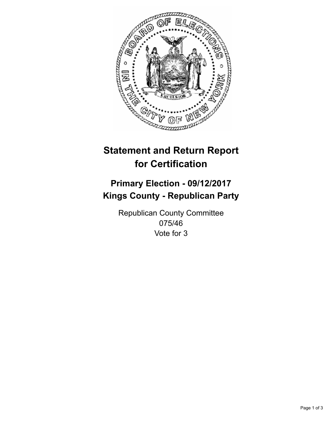

## **Statement and Return Report for Certification**

## **Primary Election - 09/12/2017 Kings County - Republican Party**

Republican County Committee 075/46 Vote for 3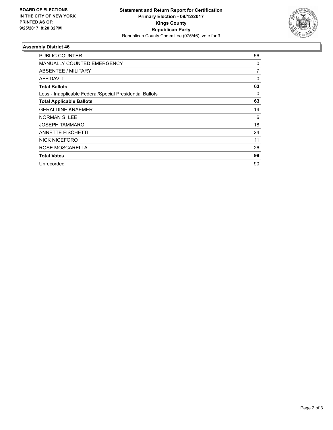

## **Assembly District 46**

| <b>PUBLIC COUNTER</b>                                    | 56 |
|----------------------------------------------------------|----|
| <b>MANUALLY COUNTED EMERGENCY</b>                        | 0  |
| ABSENTEE / MILITARY                                      | 7  |
| AFFIDAVIT                                                | 0  |
| <b>Total Ballots</b>                                     | 63 |
| Less - Inapplicable Federal/Special Presidential Ballots | 0  |
| <b>Total Applicable Ballots</b>                          | 63 |
| <b>GERALDINE KRAEMER</b>                                 | 14 |
| <b>NORMAN S. LEE</b>                                     | 6  |
| JOSEPH TAMMARO                                           | 18 |
| <b>ANNETTE FISCHETTI</b>                                 | 24 |
| <b>NICK NICEFORO</b>                                     | 11 |
| ROSE MOSCARELLA                                          | 26 |
| <b>Total Votes</b>                                       | 99 |
| Unrecorded                                               | 90 |